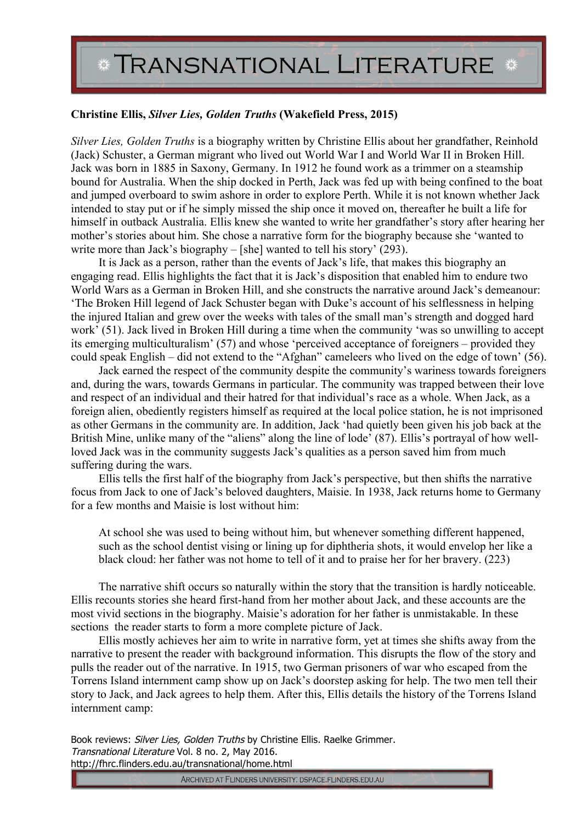## \* TRANSNATIONAL LITERATURE \*

## **Christine Ellis,** *Silver Lies, Golden Truths* **(Wakefield Press, 2015)**

*Silver Lies, Golden Truths* is a biography written by Christine Ellis about her grandfather, Reinhold (Jack) Schuster, a German migrant who lived out World War I and World War II in Broken Hill. Jack was born in 1885 in Saxony, Germany. In 1912 he found work as a trimmer on a steamship bound for Australia. When the ship docked in Perth, Jack was fed up with being confined to the boat and jumped overboard to swim ashore in order to explore Perth. While it is not known whether Jack intended to stay put or if he simply missed the ship once it moved on, thereafter he built a life for himself in outback Australia. Ellis knew she wanted to write her grandfather's story after hearing her mother's stories about him. She chose a narrative form for the biography because she 'wanted to write more than Jack's biography – [she] wanted to tell his story' (293).

It is Jack as a person, rather than the events of Jack's life, that makes this biography an engaging read. Ellis highlights the fact that it is Jack's disposition that enabled him to endure two World Wars as a German in Broken Hill, and she constructs the narrative around Jack's demeanour: 'The Broken Hill legend of Jack Schuster began with Duke's account of his selflessness in helping the injured Italian and grew over the weeks with tales of the small man's strength and dogged hard work' (51). Jack lived in Broken Hill during a time when the community 'was so unwilling to accept its emerging multiculturalism' (57) and whose 'perceived acceptance of foreigners – provided they could speak English – did not extend to the "Afghan" cameleers who lived on the edge of town' (56).

Jack earned the respect of the community despite the community's wariness towards foreigners and, during the wars, towards Germans in particular. The community was trapped between their love and respect of an individual and their hatred for that individual's race as a whole. When Jack, as a foreign alien, obediently registers himself as required at the local police station, he is not imprisoned as other Germans in the community are. In addition, Jack 'had quietly been given his job back at the British Mine, unlike many of the "aliens" along the line of lode' (87). Ellis's portrayal of how wellloved Jack was in the community suggests Jack's qualities as a person saved him from much suffering during the wars.

Ellis tells the first half of the biography from Jack's perspective, but then shifts the narrative focus from Jack to one of Jack's beloved daughters, Maisie. In 1938, Jack returns home to Germany for a few months and Maisie is lost without him:

At school she was used to being without him, but whenever something different happened, such as the school dentist vising or lining up for diphtheria shots, it would envelop her like a black cloud: her father was not home to tell of it and to praise her for her bravery. (223)

The narrative shift occurs so naturally within the story that the transition is hardly noticeable. Ellis recounts stories she heard first-hand from her mother about Jack, and these accounts are the most vivid sections in the biography. Maisie's adoration for her father is unmistakable. In these sections the reader starts to form a more complete picture of Jack.

Ellis mostly achieves her aim to write in narrative form, yet at times she shifts away from the narrative to present the reader with background information. This disrupts the flow of the story and pulls the reader out of the narrative. In 1915, two German prisoners of war who escaped from the Torrens Island internment camp show up on Jack's doorstep asking for help. The two men tell their story to Jack, and Jack agrees to help them. After this, Ellis details the history of the Torrens Island internment camp:

Book reviews: Silver Lies, Golden Truths by Christine Ellis. Raelke Grimmer. Transnational Literature Vol. 8 no. 2, May 2016. http://fhrc.flinders.edu.au/transnational/home.html

ARCHIVED AT FLINDERS UNIVERSITY: DSPACE.FLINDERS.EDU.AU